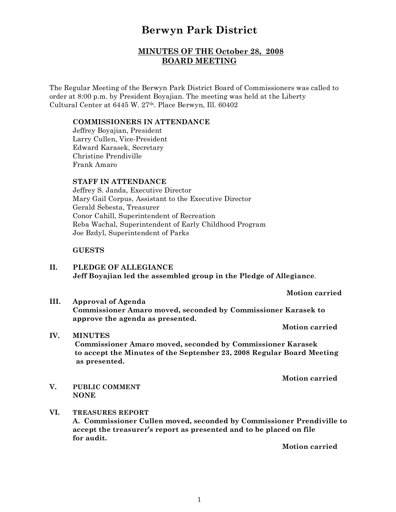# **Berwyn Park District**

# **MINUTES OF THE October 28, 2008 BOARD MEETING**

The Regular Meeting of the Berwyn Park District Board of Commissioners was called to order at 8:00 p.m. by President Boyajian. The meeting was held at the Liberty Cultural Center at 6445 W. 27th. Place Berwyn, Ill. 60402

#### **COMMISSIONERS IN ATTENDANCE**

Jeffrey Boyajian, President Larry Cullen, Vice-President Edward Karasek, Secretary Christine Prendiville Frank Amaro

## **STAFF IN ATTENDANCE**

Jeffrey S. Janda, Executive Director Mary Gail Corpus, Assistant to the Executive Director Gerald Sebesta, Treasurer Conor Cahill, Superintendent of Recreation Reba Wachal, Superintendent of Early Childhood Program Joe Bzdyl, Superintendent of Parks

#### **GUESTS**

**II. PLEDGE OF ALLEGIANCE Jeff Boyajian led the assembled group in the Pledge of Allegiance**.

**Motion carried**

**III. Approval of Agenda Commissioner Amaro moved, seconded by Commissioner Karasek to approve the agenda as presented.**

**Motion carried**

**IV. MINUTES Commissioner Amaro moved, seconded by Commissioner Karasek to accept the Minutes of the September 23, 2008 Regular Board Meeting as presented.**

**Motion carried**

- **V. PUBLIC COMMENT NONE**
- **VI. TREASURES REPORT A. Commissioner Cullen moved, seconded by Commissioner Prendiville to accept the treasurer's report as presented and to be placed on file for audit.**

**Motion carried**

1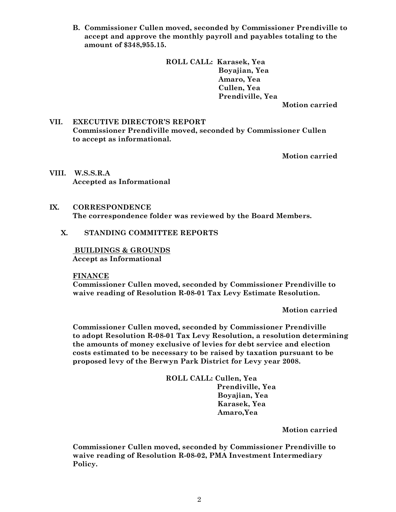**B. Commissioner Cullen moved, seconded by Commissioner Prendiville to accept and approve the monthly payroll and payables totaling to the amount of \$348,955.15.**

> **ROLL CALL: Karasek, Yea Boyajian, Yea Amaro, Yea Cullen, Yea Prendiville, Yea**

**Motion carried**

## **VII. EXECUTIVE DIRECTOR'S REPORT Commissioner Prendiville moved, seconded by Commissioner Cullen to accept as informational.**

**Motion carried**

**VIII. W.S.S.R.A Accepted as Informational**

#### **IX. CORRESPONDENCE The correspondence folder was reviewed by the Board Members.**

#### **X. STANDING COMMITTEE REPORTS**

 **BUILDINGS & GROUNDS Accept as Informational**

**FINANCE**

**Commissioner Cullen moved, seconded by Commissioner Prendiville to waive reading of Resolution R-08-01 Tax Levy Estimate Resolution.**

**Motion carried**

**Commissioner Cullen moved, seconded by Commissioner Prendiville to adopt Resolution R-08-01 Tax Levy Resolution, a resolution determining the amounts of money exclusive of levies for debt service and election costs estimated to be necessary to be raised by taxation pursuant to be proposed levy of the Berwyn Park District for Levy year 2008.**

> **ROLL CALL: Cullen, Yea Prendiville, Yea Boyajian, Yea Karasek, Yea Amaro,Yea**

> > **Motion carried**

**Commissioner Cullen moved, seconded by Commissioner Prendiville to waive reading of Resolution R-08-02, PMA Investment Intermediary Policy.**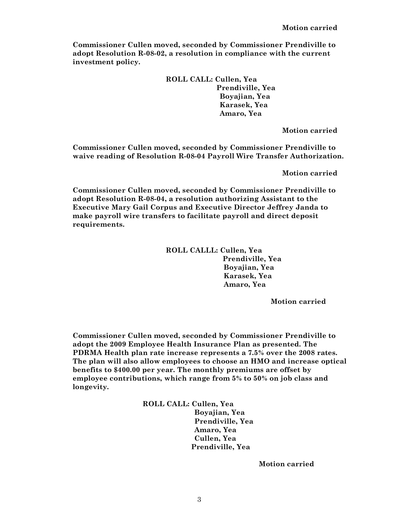**Commissioner Cullen moved, seconded by Commissioner Prendiville to adopt Resolution R-08-02, a resolution in compliance with the current investment policy.**

> **ROLL CALL: Cullen, Yea Prendiville, Yea Boyajian, Yea Karasek, Yea Amaro, Yea**

> > **Motion carried**

**Commissioner Cullen moved, seconded by Commissioner Prendiville to waive reading of Resolution R-08-04 Payroll Wire Transfer Authorization.**

**Motion carried**

**Commissioner Cullen moved, seconded by Commissioner Prendiville to adopt Resolution R-08-04, a resolution authorizing Assistant to the Executive Mary Gail Corpus and Executive Director Jeffrey Janda to make payroll wire transfers to facilitate payroll and direct deposit requirements.**

> **ROLL CALLL: Cullen, Yea Prendiville, Yea Boyajian, Yea Karasek, Yea Amaro, Yea**

> > **Motion carried**

**Commissioner Cullen moved, seconded by Commissioner Prendiville to adopt the 2009 Employee Health Insurance Plan as presented. The PDRMA Health plan rate increase represents a 7.5% over the 2008 rates. The plan will also allow employees to choose an HMO and increase optical benefits to \$400.00 per year. The monthly premiums are offset by employee contributions, which range from 5% to 50% on job class and longevity.**

> **ROLL CALL: Cullen, Yea Boyajian, Yea Prendiville, Yea Amaro, Yea Cullen, Yea Prendiville, Yea**

> > **Motion carried**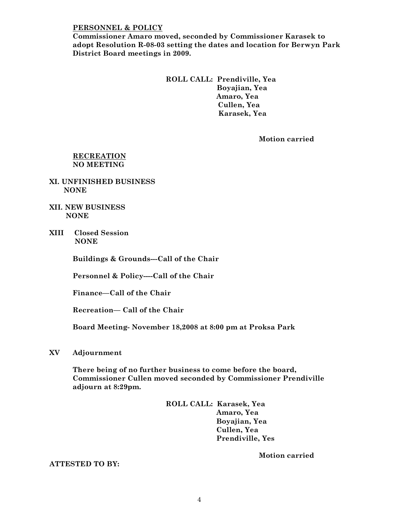#### **PERSONNEL & POLICY**

**Commissioner Amaro moved, seconded by Commissioner Karasek to adopt Resolution R-08-03 setting the dates and location for Berwyn Park District Board meetings in 2009.**

### **ROLL CALL: Prendiville, Yea Boyajian, Yea Amaro, Yea Cullen, Yea Karasek, Yea**

**Motion carried**

#### **RECREATION NO MEETING**

- **XI. UNFINISHED BUSINESS NONE**
- **XII. NEW BUSINESS NONE**
- **XIII Closed Session NONE**

**Buildings & Grounds---Call of the Chair**

**Personnel & Policy----Call of the Chair**

**Finance—Call of the Chair**

**Recreation— Call of the Chair**

**Board Meeting- November 18,2008 at 8:00 pm at Proksa Park** 

**XV Adjournment**

**There being of no further business to come before the board, Commissioner Cullen moved seconded by Commissioner Prendiville adjourn at 8:29pm.**

> **ROLL CALL: Karasek, Yea Amaro, Yea Boyajian, Yea Cullen, Yea Prendiville, Yes**

> > **Motion carried**

#### **ATTESTED TO BY:**